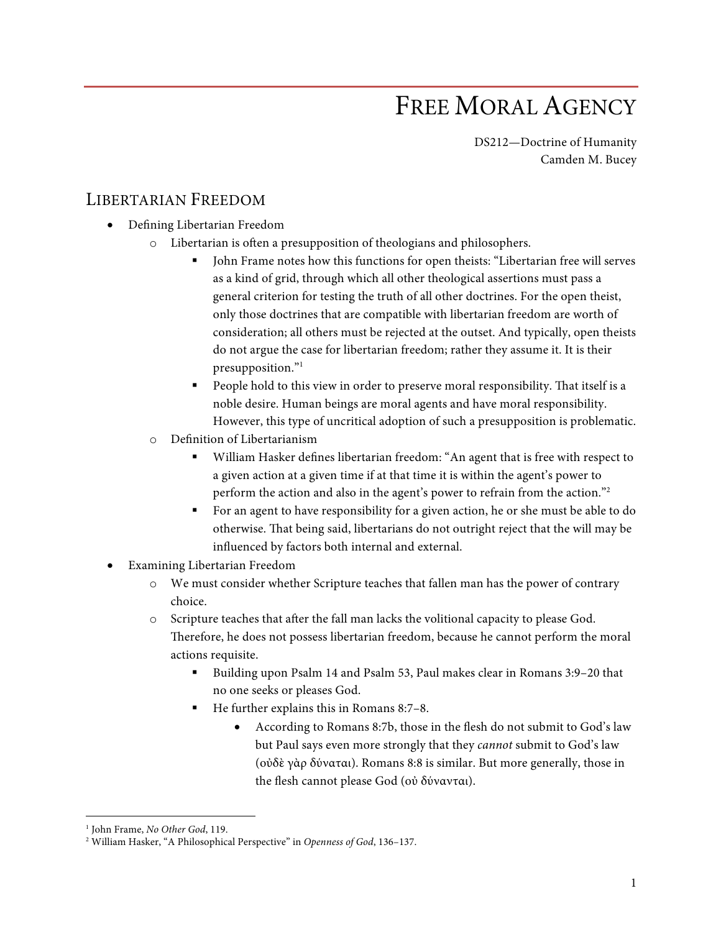## FREE MORAL AGENCY

DS212—Doctrine of Humanity Camden M. Bucey

## LIBERTARIAN FREEDOM

- Defining Libertarian Freedom
	- o Libertarian is often a presupposition of theologians and philosophers.
		- § John Frame notes how this functions for open theists: "Libertarian free will serves as a kind of grid, through which all other theological assertions must pass a general criterion for testing the truth of all other doctrines. For the open theist, only those doctrines that are compatible with libertarian freedom are worth of consideration; all others must be rejected at the outset. And typically, open theists do not argue the case for libertarian freedom; rather they assume it. It is their presupposition."<sup>1</sup>
		- People hold to this view in order to preserve moral responsibility. That itself is a noble desire. Human beings are moral agents and have moral responsibility. However, this type of uncritical adoption of such a presupposition is problematic.
	- o Definition of Libertarianism
		- William Hasker defines libertarian freedom: "An agent that is free with respect to a given action at a given time if at that time it is within the agent's power to perform the action and also in the agent's power to refrain from the action."2
		- § For an agent to have responsibility for a given action, he or she must be able to do otherwise. That being said, libertarians do not outright reject that the will may be influenced by factors both internal and external.
- Examining Libertarian Freedom
	- o We must consider whether Scripture teaches that fallen man has the power of contrary choice.
	- o Scripture teaches that after the fall man lacks the volitional capacity to please God. Therefore, he does not possess libertarian freedom, because he cannot perform the moral actions requisite.
		- § Building upon Psalm 14 and Psalm 53, Paul makes clear in Romans 3:9–20 that no one seeks or pleases God.
		- § He further explains this in Romans 8:7–8.
			- According to Romans 8:7b, those in the flesh do not submit to God's law but Paul says even more strongly that they *cannot* submit to God's law (οὐδὲ γὰρ δύναται). Romans 8:8 is similar. But more generally, those in the flesh cannot please God (οὐ δύνανται).

 <sup>1</sup> John Frame, *No Other God*, 119.

<sup>2</sup> William Hasker, "A Philosophical Perspective" in *Openness of God*, 136–137.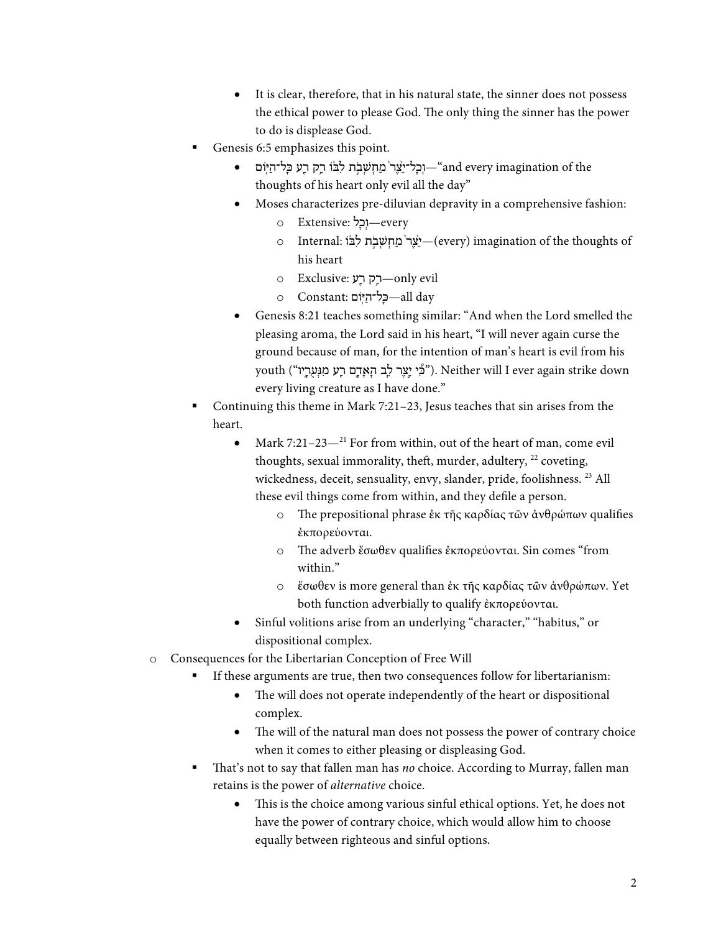- It is clear, therefore, that in his natural state, the sinner does not possess the ethical power to please God. The only thing the sinner has the power to do is displease God.
- Genesis 6:5 emphasizes this point.
	- וְבָל־יִצֶר מַחְשָׁבִת לִבּוֹ רַק רַע כַּל־הַיִּוֹם—"and every imagination of the thoughts of his heart only evil all the day"
	- Moses characterizes pre-diluvian depravity in a comprehensive fashion:
		- every—וְכֵל :Extensive o
		- o Internal: עֲרֹ מַחִשְׁבֹת לִבּׂוֹ $-$ (every) imagination of the thoughts of his heart
		- o Exclusive: רַק רַע —only evil
		- o Constant: בַּל־הַיִּּוֹם :—all day
	- Genesis 8:21 teaches something similar: "And when the Lord smelled the pleasing aroma, the Lord said in his heart, "I will never again curse the ground because of man, for the intention of man's heart is evil from his youth ("כִּי יֵצֶר לָב הָאָדָם רָע מִנְעִרָי). Neither will I ever again strike down every living creature as I have done."
- § Continuing this theme in Mark 7:21–23, Jesus teaches that sin arises from the heart.
	- Mark 7:21-23 $-$ <sup>21</sup> For from within, out of the heart of man, come evil thoughts, sexual immorality, theft, murder, adultery,  $^{22}$  coveting, wickedness, deceit, sensuality, envy, slander, pride, foolishness. 23 All these evil things come from within, and they defile a person.
		- o The prepositional phrase ἐκ τῆς καρδίας τῶν ἀνθρώπων qualifies ἐκπορεύονται.
		- o The adverb ἔσωθεν qualifies ἐκπορεύονται. Sin comes "from within<sup>"</sup>
		- o ἔσωθεν is more general than ἐκ τῆς καρδίας τῶν ἀνθρώπων. Yet both function adverbially to qualify ἐκπορεύονται.
	- Sinful volitions arise from an underlying "character," "habitus," or dispositional complex.
- o Consequences for the Libertarian Conception of Free Will
	- If these arguments are true, then two consequences follow for libertarianism:
		- The will does not operate independently of the heart or dispositional complex.
		- The will of the natural man does not possess the power of contrary choice when it comes to either pleasing or displeasing God.
	- § That's not to say that fallen man has *no* choice. According to Murray, fallen man retains is the power of *alternative* choice.
		- This is the choice among various sinful ethical options. Yet, he does not have the power of contrary choice, which would allow him to choose equally between righteous and sinful options.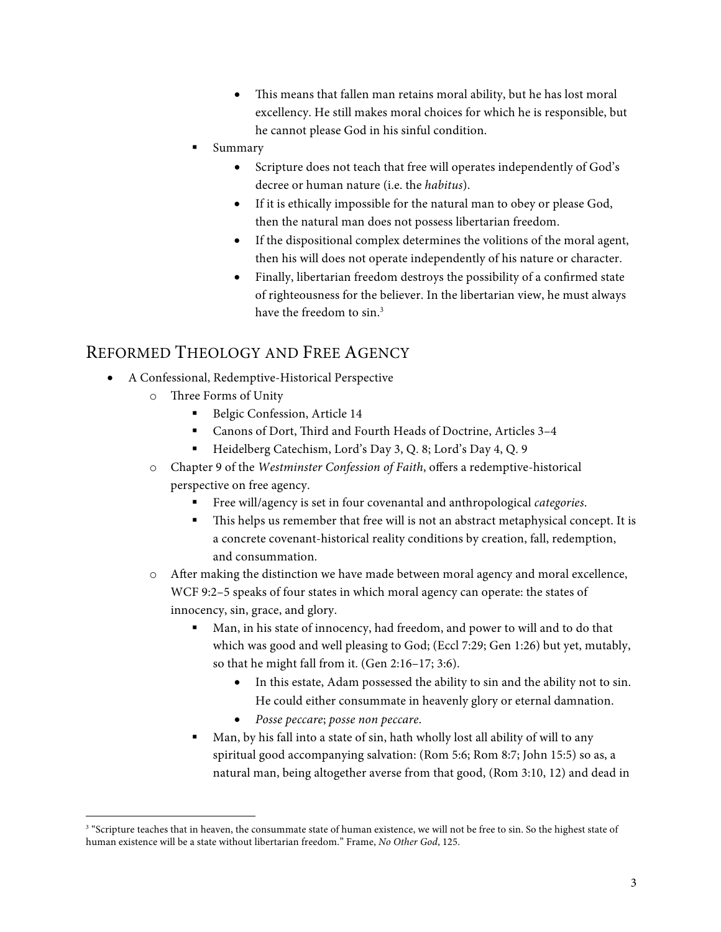- This means that fallen man retains moral ability, but he has lost moral excellency. He still makes moral choices for which he is responsible, but he cannot please God in his sinful condition.
- § Summary
	- Scripture does not teach that free will operates independently of God's decree or human nature (i.e. the *habitus*).
	- If it is ethically impossible for the natural man to obey or please God, then the natural man does not possess libertarian freedom.
	- If the dispositional complex determines the volitions of the moral agent, then his will does not operate independently of his nature or character.
	- Finally, libertarian freedom destroys the possibility of a confirmed state of righteousness for the believer. In the libertarian view, he must always have the freedom to sin.<sup>3</sup>

## REFORMED THEOLOGY AND FREE AGENCY

- A Confessional, Redemptive-Historical Perspective
	- o Three Forms of Unity
		- Belgic Confession, Article 14
		- Canons of Dort, Third and Fourth Heads of Doctrine, Articles 3-4
		- § Heidelberg Catechism, Lord's Day 3, Q. 8; Lord's Day 4, Q. 9
	- o Chapter 9 of the *Westminster Confession of Faith*, offers a redemptive-historical perspective on free agency.
		- § Free will/agency is set in four covenantal and anthropological *categories*.
		- This helps us remember that free will is not an abstract metaphysical concept. It is a concrete covenant-historical reality conditions by creation, fall, redemption, and consummation.
	- o After making the distinction we have made between moral agency and moral excellence, WCF 9:2–5 speaks of four states in which moral agency can operate: the states of innocency, sin, grace, and glory.
		- Man, in his state of innocency, had freedom, and power to will and to do that which was good and well pleasing to God; (Eccl 7:29; Gen 1:26) but yet, mutably, so that he might fall from it. (Gen 2:16–17; 3:6).
			- In this estate, Adam possessed the ability to sin and the ability not to sin. He could either consummate in heavenly glory or eternal damnation.
			- *Posse peccare*; *posse non peccare*.
		- § Man, by his fall into a state of sin, hath wholly lost all ability of will to any spiritual good accompanying salvation: (Rom 5:6; Rom 8:7; John 15:5) so as, a natural man, being altogether averse from that good, (Rom 3:10, 12) and dead in

<sup>&</sup>lt;sup>3</sup> "Scripture teaches that in heaven, the consummate state of human existence, we will not be free to sin. So the highest state of human existence will be a state without libertarian freedom." Frame, *No Other God*, 125.